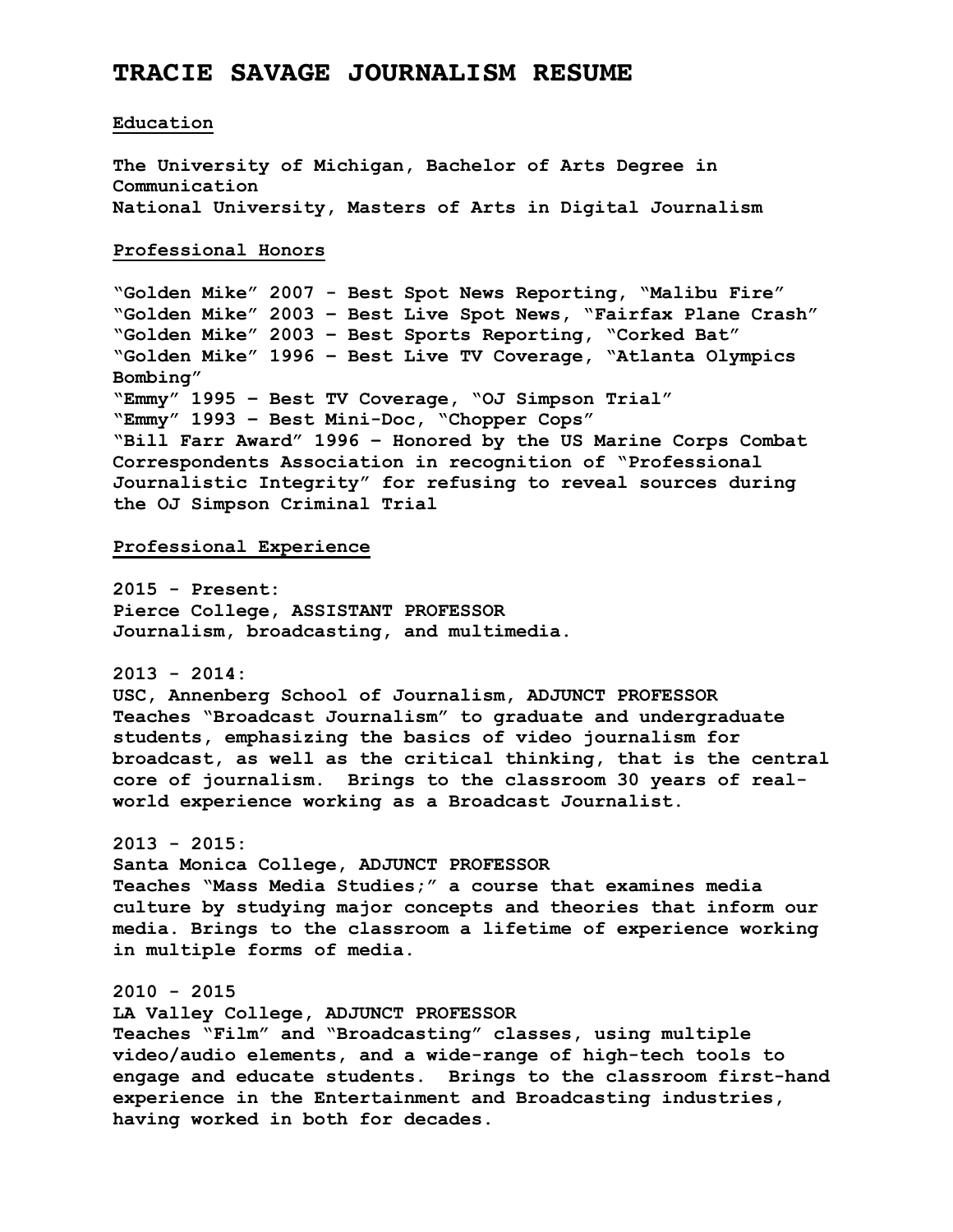# **TRACIE SAVAGE JOURNALISM RESUME**

#### **Education**

**The University of Michigan, Bachelor of Arts Degree in Communication National University, Masters of Arts in Digital Journalism**

#### **Professional Honors**

**"Golden Mike" 2007 - Best Spot News Reporting, "Malibu Fire" "Golden Mike" 2003 – Best Live Spot News, "Fairfax Plane Crash" "Golden Mike" 2003 – Best Sports Reporting, "Corked Bat" "Golden Mike" 1996 – Best Live TV Coverage, "Atlanta Olympics Bombing" "Emmy" 1995 – Best TV Coverage, "OJ Simpson Trial" "Emmy" 1993 – Best Mini-Doc, "Chopper Cops" "Bill Farr Award" 1996 – Honored by the US Marine Corps Combat Correspondents Association in recognition of "Professional Journalistic Integrity" for refusing to reveal sources during the OJ Simpson Criminal Trial** 

### **Professional Experience**

**2015 - Present: Pierce College, ASSISTANT PROFESSOR Journalism, broadcasting, and multimedia.**

**2013 - 2014:**

**USC, Annenberg School of Journalism, ADJUNCT PROFESSOR Teaches "Broadcast Journalism" to graduate and undergraduate students, emphasizing the basics of video journalism for broadcast, as well as the critical thinking, that is the central core of journalism. Brings to the classroom 30 years of realworld experience working as a Broadcast Journalist.**

### **2013 - 2015:**

**Santa Monica College, ADJUNCT PROFESSOR Teaches "Mass Media Studies;" a course that examines media culture by studying major concepts and theories that inform our media. Brings to the classroom a lifetime of experience working in multiple forms of media.**

### **2010 - 2015**

**LA Valley College, ADJUNCT PROFESSOR Teaches "Film" and "Broadcasting" classes, using multiple video/audio elements, and a wide-range of high-tech tools to engage and educate students. Brings to the classroom first-hand experience in the Entertainment and Broadcasting industries, having worked in both for decades.**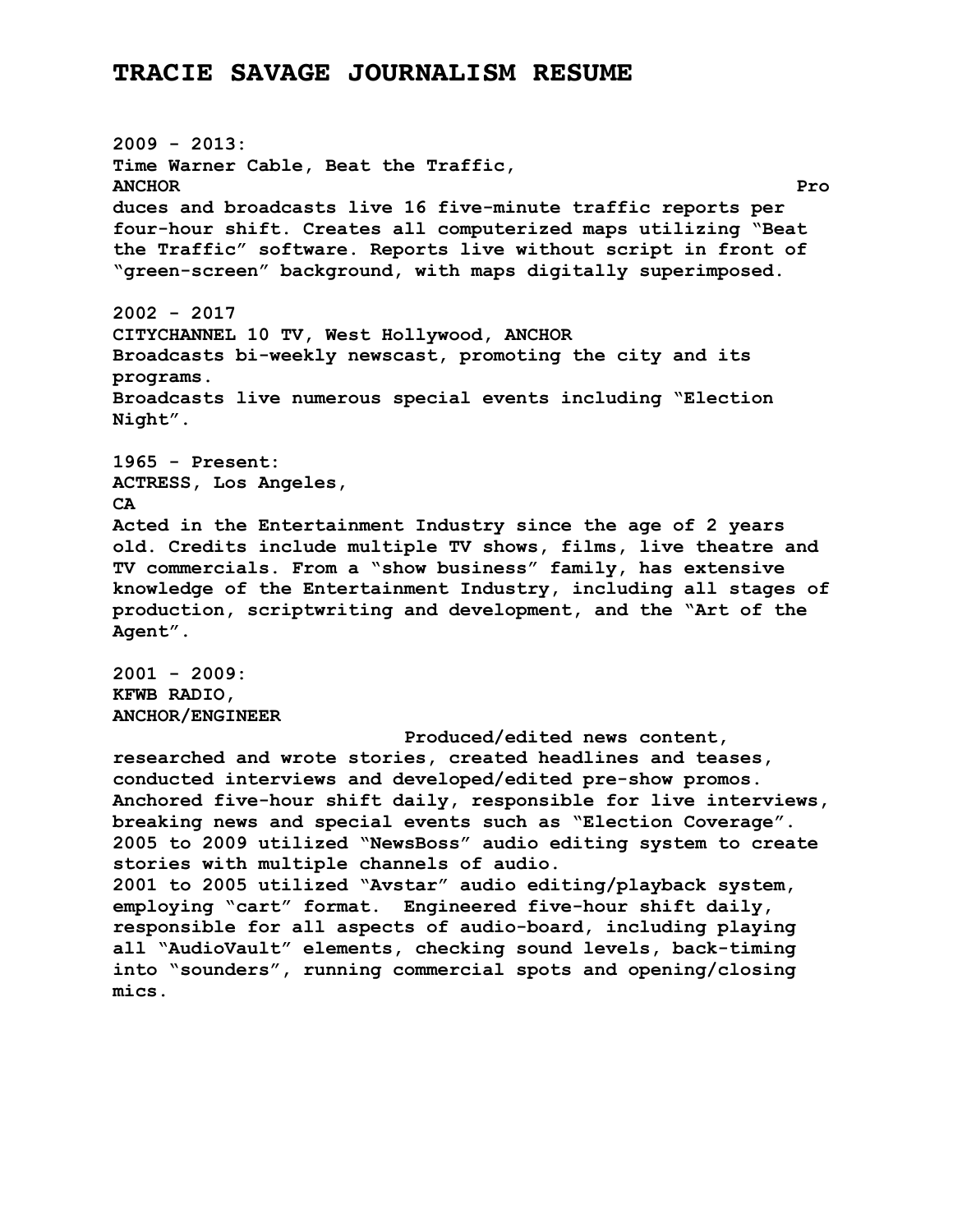# **TRACIE SAVAGE JOURNALISM RESUME**

**2009 - 2013: Time Warner Cable, Beat the Traffic, ANCHOR Pro duces and broadcasts live 16 five-minute traffic reports per four-hour shift. Creates all computerized maps utilizing "Beat the Traffic" software. Reports live without script in front of "green-screen" background, with maps digitally superimposed. 2002 - 2017 CITYCHANNEL 10 TV, West Hollywood, ANCHOR Broadcasts bi-weekly newscast, promoting the city and its programs. Broadcasts live numerous special events including "Election Night". 1965 - Present: ACTRESS, Los Angeles, CA Acted in the Entertainment Industry since the age of 2 years old. Credits include multiple TV shows, films, live theatre and TV commercials. From a "show business" family, has extensive knowledge of the Entertainment Industry, including all stages of production, scriptwriting and development, and the "Art of the Agent". 2001 - 2009: KFWB RADIO, ANCHOR/ENGINEER Produced/edited news content, researched and wrote stories, created headlines and teases, conducted interviews and developed/edited pre-show promos. Anchored five-hour shift daily, responsible for live interviews, breaking news and special events such as "Election Coverage". 2005 to 2009 utilized "NewsBoss" audio editing system to create stories with multiple channels of audio. 2001 to 2005 utilized "Avstar" audio editing/playback system, employing "cart" format. Engineered five-hour shift daily, responsible for all aspects of audio-board, including playing all "AudioVault" elements, checking sound levels, back-timing into "sounders", running commercial spots and opening/closing mics.**